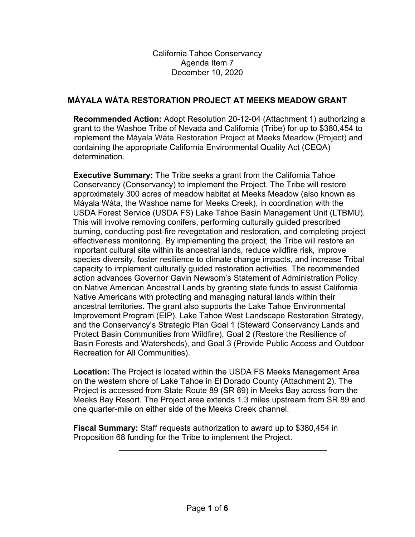California Tahoe Conservancy Agenda Item 7 December 10, 2020

# **MÁYALA WÁTA RESTORATION PROJECT AT MEEKS MEADOW GRANT**

**Recommended Action:** Adopt Resolution 20-12-04 (Attachment 1) authorizing a grant to the Washoe Tribe of Nevada and California (Tribe) for up to \$380,454 to implement the Máyala Wáta Restoration Project at Meeks Meadow (Project) and containing the appropriate California Environmental Quality Act (CEQA) determination.

**Executive Summary:** The Tribe seeks a grant from the California Tahoe Conservancy (Conservancy) to implement the Project. The Tribe will restore approximately 300 acres of meadow habitat at Meeks Meadow (also known as Máyala Wáta, the Washoe name for Meeks Creek), in coordination with the USDA Forest Service (USDA FS) Lake Tahoe Basin Management Unit (LTBMU). This will involve removing conifers, performing culturally guided prescribed burning, conducting post-fire revegetation and restoration, and completing project effectiveness monitoring. By implementing the project, the Tribe will restore an important cultural site within its ancestral lands, reduce wildfire risk, improve species diversity, foster resilience to climate change impacts, and increase Tribal capacity to implement culturally guided restoration activities. The recommended action advances Governor Gavin Newsom's Statement of Administration Policy on Native American Ancestral Lands by granting state funds to assist California Native Americans with protecting and managing natural lands within their ancestral territories. The grant also supports the Lake Tahoe Environmental Improvement Program (EIP), Lake Tahoe West Landscape Restoration Strategy, and the Conservancy's Strategic Plan Goal 1 (Steward Conservancy Lands and Protect Basin Communities from Wildfire), Goal 2 (Restore the Resilience of Basin Forests and Watersheds), and Goal 3 (Provide Public Access and Outdoor Recreation for All Communities).

**Location:** The Project is located within the USDA FS Meeks Management Area on the western shore of Lake Tahoe in El Dorado County (Attachment 2). The Project is accessed from State Route 89 (SR 89) in Meeks Bay across from the Meeks Bay Resort. The Project area extends 1.3 miles upstream from SR 89 and one quarter-mile on either side of the Meeks Creek channel.

\_\_\_\_\_\_\_\_\_\_\_\_\_\_\_\_\_\_\_\_\_\_\_\_\_\_\_\_\_\_\_\_\_\_\_\_\_\_\_\_\_\_\_\_\_\_

**Fiscal Summary:** Staff requests authorization to award up to \$380,454 in Proposition 68 funding for the Tribe to implement the Project.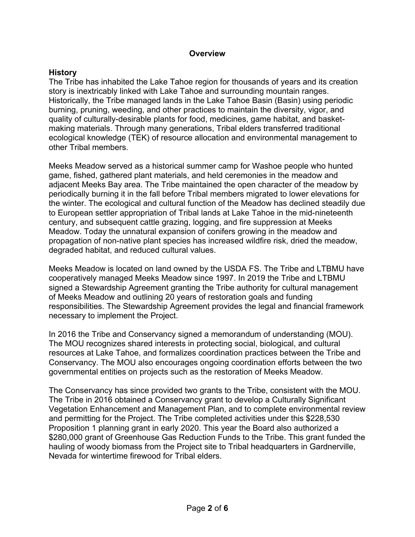#### **Overview**

#### **History**

The Tribe has inhabited the Lake Tahoe region for thousands of years and its creation story is inextricably linked with Lake Tahoe and surrounding mountain ranges. Historically, the Tribe managed lands in the Lake Tahoe Basin (Basin) using periodic burning, pruning, weeding, and other practices to maintain the diversity, vigor, and quality of culturally-desirable plants for food, medicines, game habitat, and basketmaking materials. Through many generations, Tribal elders transferred traditional ecological knowledge (TEK) of resource allocation and environmental management to other Tribal members.

Meeks Meadow served as a historical summer camp for Washoe people who hunted game, fished, gathered plant materials, and held ceremonies in the meadow and adjacent Meeks Bay area. The Tribe maintained the open character of the meadow by periodically burning it in the fall before Tribal members migrated to lower elevations for the winter. The ecological and cultural function of the Meadow has declined steadily due to European settler appropriation of Tribal lands at Lake Tahoe in the mid-nineteenth century, and subsequent cattle grazing, logging, and fire suppression at Meeks Meadow. Today the unnatural expansion of conifers growing in the meadow and propagation of non-native plant species has increased wildfire risk, dried the meadow, degraded habitat, and reduced cultural values.

Meeks Meadow is located on land owned by the USDA FS. The Tribe and LTBMU have cooperatively managed Meeks Meadow since 1997. In 2019 the Tribe and LTBMU signed a Stewardship Agreement granting the Tribe authority for cultural management of Meeks Meadow and outlining 20 years of restoration goals and funding responsibilities. The Stewardship Agreement provides the legal and financial framework necessary to implement the Project.

In 2016 the Tribe and Conservancy signed a memorandum of understanding (MOU). The MOU recognizes shared interests in protecting social, biological, and cultural resources at Lake Tahoe, and formalizes coordination practices between the Tribe and Conservancy. The MOU also encourages ongoing coordination efforts between the two governmental entities on projects such as the restoration of Meeks Meadow.

The Conservancy has since provided two grants to the Tribe, consistent with the MOU. The Tribe in 2016 obtained a Conservancy grant to develop a Culturally Significant Vegetation Enhancement and Management Plan, and to complete environmental review and permitting for the Project. The Tribe completed activities under this \$228,530 Proposition 1 planning grant in early 2020. This year the Board also authorized a \$280,000 grant of Greenhouse Gas Reduction Funds to the Tribe. This grant funded the hauling of woody biomass from the Project site to Tribal headquarters in Gardnerville, Nevada for wintertime firewood for Tribal elders.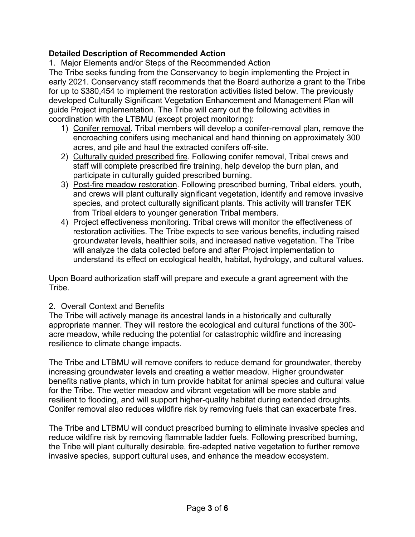## **Detailed Description of Recommended Action**

1. Major Elements and/or Steps of the Recommended Action

The Tribe seeks funding from the Conservancy to begin implementing the Project in early 2021. Conservancy staff recommends that the Board authorize a grant to the Tribe for up to \$380,454 to implement the restoration activities listed below. The previously developed Culturally Significant Vegetation Enhancement and Management Plan will guide Project implementation. The Tribe will carry out the following activities in coordination with the LTBMU (except project monitoring):

- 1) Conifer removal. Tribal members will develop a conifer-removal plan, remove the encroaching conifers using mechanical and hand thinning on approximately 300 acres, and pile and haul the extracted conifers off-site.
- 2) Culturally guided prescribed fire. Following conifer removal, Tribal crews and staff will complete prescribed fire training, help develop the burn plan, and participate in culturally guided prescribed burning.
- 3) Post-fire meadow restoration. Following prescribed burning, Tribal elders, youth, and crews will plant culturally significant vegetation, identify and remove invasive species, and protect culturally significant plants. This activity will transfer TEK from Tribal elders to younger generation Tribal members.
- 4) Project effectiveness monitoring. Tribal crews will monitor the effectiveness of restoration activities. The Tribe expects to see various benefits, including raised groundwater levels, healthier soils, and increased native vegetation. The Tribe will analyze the data collected before and after Project implementation to understand its effect on ecological health, habitat, hydrology, and cultural values.

Upon Board authorization staff will prepare and execute a grant agreement with the Tribe.

## 2. Overall Context and Benefits

The Tribe will actively manage its ancestral lands in a historically and culturally appropriate manner. They will restore the ecological and cultural functions of the 300 acre meadow, while reducing the potential for catastrophic wildfire and increasing resilience to climate change impacts.

The Tribe and LTBMU will remove conifers to reduce demand for groundwater, thereby increasing groundwater levels and creating a wetter meadow. Higher groundwater benefits native plants, which in turn provide habitat for animal species and cultural value for the Tribe. The wetter meadow and vibrant vegetation will be more stable and resilient to flooding, and will support higher-quality habitat during extended droughts. Conifer removal also reduces wildfire risk by removing fuels that can exacerbate fires.

The Tribe and LTBMU will conduct prescribed burning to eliminate invasive species and reduce wildfire risk by removing flammable ladder fuels. Following prescribed burning, the Tribe will plant culturally desirable, fire-adapted native vegetation to further remove invasive species, support cultural uses, and enhance the meadow ecosystem.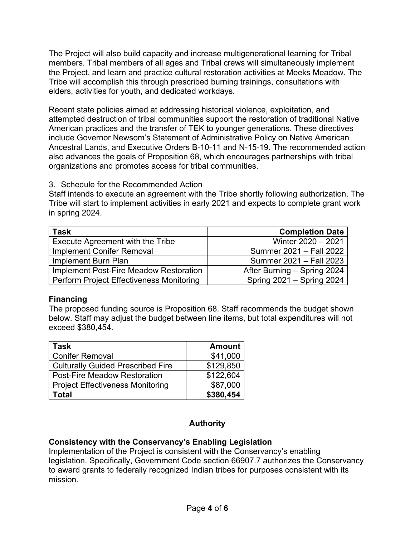The Project will also build capacity and increase multigenerational learning for Tribal members. Tribal members of all ages and Tribal crews will simultaneously implement the Project, and learn and practice cultural restoration activities at Meeks Meadow. The Tribe will accomplish this through prescribed burning trainings, consultations with elders, activities for youth, and dedicated workdays.

Recent state policies aimed at addressing historical violence, exploitation, and attempted destruction of tribal communities support the restoration of traditional Native American practices and the transfer of TEK to younger generations. These directives include Governor Newsom's Statement of Administrative Policy on Native American Ancestral Lands, and Executive Orders B-10-11 and N-15-19. The recommended action also advances the goals of Proposition 68, which encourages partnerships with tribal organizations and promotes access for tribal communities.

3. Schedule for the Recommended Action

Staff intends to execute an agreement with the Tribe shortly following authorization. The Tribe will start to implement activities in early 2021 and expects to complete grant work in spring 2024.

| <b>Task</b>                                     | <b>Completion Date</b>      |
|-------------------------------------------------|-----------------------------|
| Execute Agreement with the Tribe                | Winter 2020 - 2021          |
| <b>Implement Conifer Removal</b>                | Summer 2021 - Fall 2022     |
| Implement Burn Plan                             | Summer 2021 - Fall 2023     |
| Implement Post-Fire Meadow Restoration          | After Burning - Spring 2024 |
| <b>Perform Project Effectiveness Monitoring</b> | Spring 2021 - Spring 2024   |

# **Financing**

The proposed funding source is Proposition 68. Staff recommends the budget shown below. Staff may adjust the budget between line items, but total expenditures will not exceed \$380,454.

| <b>Task</b>                              | <b>Amount</b> |
|------------------------------------------|---------------|
| <b>Conifer Removal</b>                   | \$41,000      |
| <b>Culturally Guided Prescribed Fire</b> | \$129,850     |
| <b>Post-Fire Meadow Restoration</b>      | \$122,604     |
| <b>Project Effectiveness Monitoring</b>  | \$87,000      |
| Total                                    | \$380,454     |

# **Authority**

## **Consistency with the Conservancy's Enabling Legislation**

Implementation of the Project is consistent with the Conservancy's enabling legislation. Specifically, Government Code section 66907.7 authorizes the Conservancy to award grants to federally recognized Indian tribes for purposes consistent with its mission.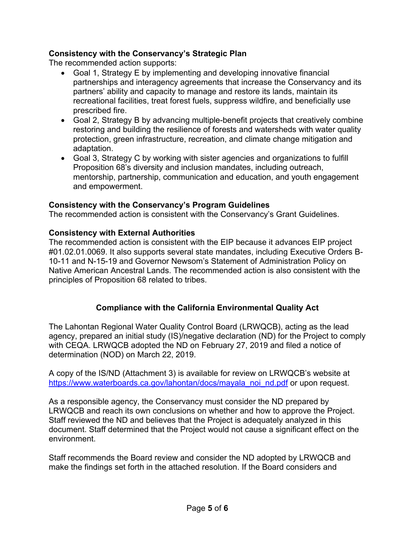## **Consistency with the Conservancy's Strategic Plan**

The recommended action supports:

- Goal 1, Strategy E by implementing and developing innovative financial partnerships and interagency agreements that increase the Conservancy and its partners' ability and capacity to manage and restore its lands, maintain its recreational facilities, treat forest fuels, suppress wildfire, and beneficially use prescribed fire.
- Goal 2, Strategy B by advancing multiple-benefit projects that creatively combine restoring and building the resilience of forests and watersheds with water quality protection, green infrastructure, recreation, and climate change mitigation and adaptation.
- Goal 3, Strategy C by working with sister agencies and organizations to fulfill Proposition 68's diversity and inclusion mandates, including outreach, mentorship, partnership, communication and education, and youth engagement and empowerment.

### **Consistency with the Conservancy's Program Guidelines**

The recommended action is consistent with the Conservancy's Grant Guidelines.

#### **Consistency with External Authorities**

The recommended action is consistent with the EIP because it advances EIP project #01.02.01.0069. It also supports several state mandates, including Executive Orders B-10-11 and N-15-19 and Governor Newsom's Statement of Administration Policy on Native American Ancestral Lands. The recommended action is also consistent with the principles of Proposition 68 related to tribes.

## **Compliance with the California Environmental Quality Act**

The Lahontan Regional Water Quality Control Board (LRWQCB), acting as the lead agency, prepared an initial study (IS)/negative declaration (ND) for the Project to comply with CEQA. LRWQCB adopted the ND on February 27, 2019 and filed a notice of determination (NOD) on March 22, 2019.

A copy of the IS/ND (Attachment 3) is available for review on LRWQCB's website at [https://www.waterboards.ca.gov/lahontan/docs/mayala\\_noi\\_nd.pdf](https://www.waterboards.ca.gov/lahontan/docs/mayala_noi_nd.pdf) or upon request.

As a responsible agency, the Conservancy must consider the ND prepared by LRWQCB and reach its own conclusions on whether and how to approve the Project. Staff reviewed the ND and believes that the Project is adequately analyzed in this document. Staff determined that the Project would not cause a significant effect on the environment.

Staff recommends the Board review and consider the ND adopted by LRWQCB and make the findings set forth in the attached resolution. If the Board considers and